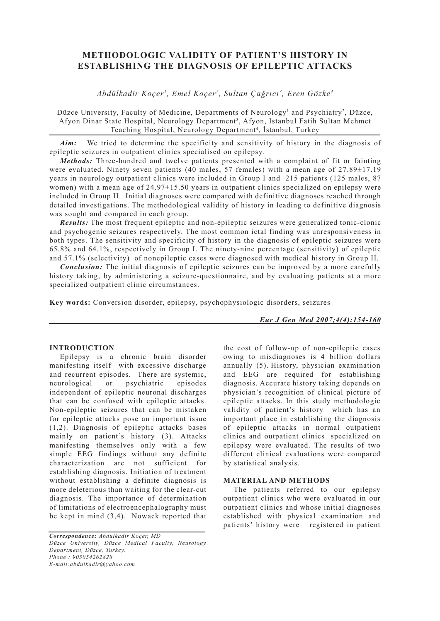# **METHODOLOGIC VALIDITY OF PATIENT'S HISTORY IN ESTABLISHING THE DIAGNOSIS OF EPILEPTIC ATTACKS**

*Abdülkadir Koçer1 , Emel Koçer2 , Sultan Çağrıcı3 , Eren Gözke4*

Düzce University, Faculty of Medicine, Departments of Neurology<sup>1</sup> and Psychiatry<sup>2</sup>, Düzce, Afyon Dinar State Hospital, Neurology Department<sup>3</sup>, Afyon, Istanbul Fatih Sultan Mehmet Teaching Hospital, Neurology Department<sup>4</sup>, İstanbul, Turkey

Aim: We tried to determine the specificity and sensitivity of history in the diagnosis of epileptic seizures in outpatient clinics specialised on epilepsy.

*Methods:* Three-hundred and twelve patients presented with a complaint of fit or fainting were evaluated. Ninety seven patients (40 males, 57 females) with a mean age of 27.89 $\pm$ 17.19 years in neurology outpatient clinics were included in Group I and 215 patients (125 males, 87 women) with a mean age of 24.97 $\pm$ 15.50 years in outpatient clinics specialized on epilepsy were included in Group II. Initial diagnoses were compared with definitive diagnoses reached through detailed investigations. The methodological validity of history in leading to definitive diagnosis was sought and compared in each group.

*Results:* The most frequent epileptic and non-epileptic seizures were generalized tonic-clonic and psychogenic seizures respectively. The most common ictal finding was unresponsiveness in both types. The sensitivity and specificity of history in the diagnosis of epileptic seizures were 65.8% and 64.1%, respectively in Group I. The ninety-nine percentage (sensitivity) of epileptic and 57.1% (selectivity) of nonepileptic cases were diagnosed with medical history in Group II.

*Conclusion:* The initial diagnosis of epileptic seizures can be improved by a more carefully history taking, by administering a seizure-questionnaire, and by evaluating patients at a more specialized outpatient clinic circumstances.

**Key words:** Conversion disorder, epilepsy, psychophysiologic disorders, seizures

*Eur J Gen Med 2007;4(4):154-160*

### **INTRODUCTION**

Epilepsy is a chronic brain disorder manifesting itself with excessive discharge and recurrent episodes. There are systemic, neurological or psychiatric episodes independent of epileptic neuronal discharges that can be confused with epileptic attacks. Non-epileptic seizures that can be mistaken for epileptic attacks pose an important issue (1,2). Diagnosis of epileptic attacks bases mainly on patient's history (3). Attacks manifesting themselves only with a few simple EEG findings without any definite characterization are not sufficient for establishing diagnosis. Initiation of treatment without establishing a definite diagnosis is more deleterious than waiting for the clear-cut diagnosis. The importance of determination of limitations of electroencephalography must be kept in mind (3,4). Nowack reported that

*Correspondence: Abdulkadir Koçer, MD Düzce University, Düzce Medical Faculty, Neurology Department, Düzce, Turkey. Phone : 905054262828 E-mail:abdulkadir@yahoo.com*

the cost of follow-up of non-epileptic cases owing to misdiagnoses is 4 billion dollars annually (5). History, physician examination and EEG are required for establishing diagnosis. Accurate history taking depends on physician's recognition of clinical picture of epileptic attacks. In this study methodologic validity of patient's history which has an important place in establishing the diagnosis of epileptic attacks in normal outpatient clinics and outpatient clinics specialized on epilepsy were evaluated. The results of two different clinical evaluations were compared by statistical analysis.

#### **MATERIAL AND METHODS**

The patients referred to our epilepsy outpatient clinics who were evaluated in our outpatient clinics and whose initial diagnoses established with physical examination and patients' history were registered in patient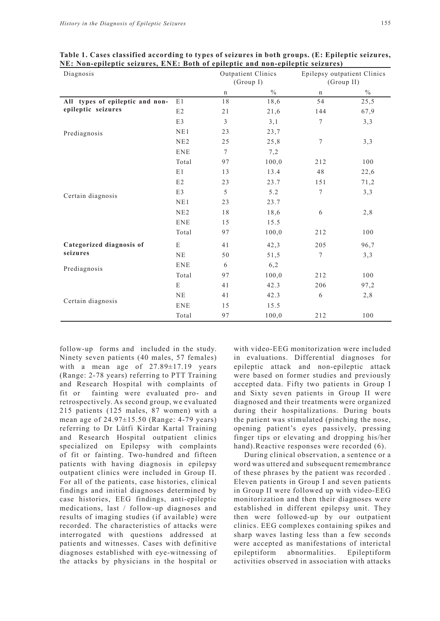| Diagnosis                            |            | <b>Outpatient Clinics</b><br>(Group I) |               | Epilepsy outpatient Clinics<br>(Group II) |               |
|--------------------------------------|------------|----------------------------------------|---------------|-------------------------------------------|---------------|
|                                      |            | $\mathbf n$                            | $\frac{0}{0}$ | $\mathbf n$                               | $\frac{0}{0}$ |
| All types of epileptic and non-      | E1         | 18                                     | 18,6          | 54                                        | 25,5          |
| epileptic seizures                   | E2         | 21                                     | 21,6          | 144                                       | 67,9          |
| Prediagnosis                         | E3         | 3                                      | 3,1           | $\tau$                                    | 3,3           |
|                                      | NE1        | 23                                     | 23,7          |                                           |               |
|                                      | NE2        | 25                                     | 25,8          | $\boldsymbol{7}$                          | 3,3           |
|                                      | <b>ENE</b> | $\tau$                                 | 7,2           |                                           |               |
| Certain diagnosis                    | Total      | 97                                     | 100,0         | 212                                       | 100           |
|                                      | E1         | 13                                     | 13.4          | 48                                        | 22,6          |
|                                      | E2         | 23                                     | 23.7          | 151                                       | 71,2          |
|                                      | E3         | 5                                      | 5.2           | $\tau$                                    | 3,3           |
|                                      | NE1        | 23                                     | 23.7          |                                           |               |
|                                      | NE2        | 18                                     | 18,6          | 6                                         | 2,8           |
|                                      | <b>ENE</b> | 15                                     | 15.5          |                                           |               |
|                                      | Total      | 97                                     | 100,0         | 212                                       | 100           |
| Categorized diagnosis of<br>seizures | ${\bf E}$  | 41                                     | 42,3          | 205                                       | 96,7          |
|                                      | NE         | 50                                     | 51,5          | 7                                         | 3,3           |
| Prediagnosis                         | <b>ENE</b> | 6                                      | 6,2           |                                           |               |
|                                      | Total      | 97                                     | 100,0         | 212                                       | 100           |
|                                      | E          | 41                                     | 42.3          | 206                                       | 97,2          |
|                                      | NE         | 41                                     | 42.3          | 6                                         | 2,8           |
| Certain diagnosis                    | <b>ENE</b> | 15                                     | 15.5          |                                           |               |
|                                      | Total      | 97                                     | 100,0         | 212                                       | 100           |

**Table 1. Cases classified according to types of seizures in both groups. (E: Epileptic seizures, NE: Non-epileptic seizures, ENE: Both of epileptic and non-epileptic seizures)**

follow-up forms and included in the study. Ninety seven patients (40 males, 57 females) with a mean age of 27.89±17.19 years (Range: 2-78 years) referring to PTT Training and Research Hospital with complaints of fit or fainting were evaluated pro- and retrospectively. As second group, we evaluated 215 patients (125 males, 87 women) with a mean age of 24.97±15.50 (Range: 4-79 years) referring to Dr Lütfi Kirdar Kartal Training and Research Hospital outpatient clinics specialized on Epilepsy with complaints of fit or fainting. Two-hundred and fifteen patients with having diagnosis in epilepsy outpatient clinics were included in Group II. For all of the patients, case histories, clinical findings and initial diagnoses determined by case histories, EEG findings, anti-epileptic medications, last / follow-up diagnoses and results of imaging studies (if available) were recorded. The characteristics of attacks were interrogated with questions addressed at patients and witnesses. Cases with definitive diagnoses established with eye-witnessing of the attacks by physicians in the hospital or

with video-EEG monitorization were included in evaluations. Differential diagnoses for epileptic attack and non-epileptic attack were based on former studies and previously accepted data. Fifty two patients in Group I and Sixty seven patients in Group II were diagnosed and their treatments were organized during their hospitalizations. During bouts the patient was stimulated (pinching the nose, opening patient's eyes passively, pressing finger tips or elevating and dropping his/her hand). Reactive responses were recorded (6).

During clinical observation, a sentence or a word was uttered and subsequent remembrance of these phrases by the patient was recorded . Eleven patients in Group I and seven patients in Group II were followed up with video-EEG monitorization and then their diagnoses were established in different epilepsy unit. They then were followed-up by our outpatient clinics. EEG complexes containing spikes and sharp waves lasting less than a few seconds were accepted as manifestations of interictal epileptiform abnormalities. Epileptiform activities observed in association with attacks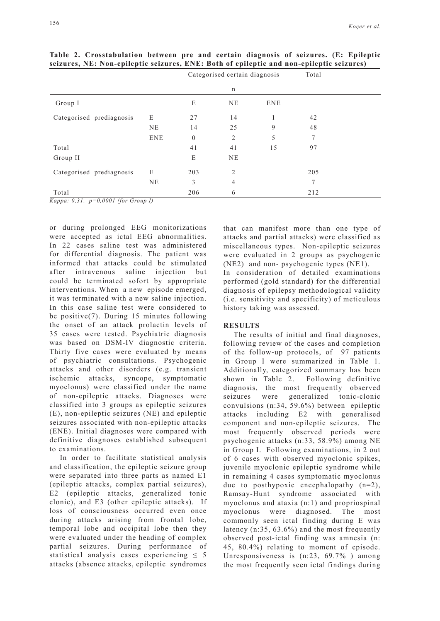|                                               |              | Categorised certain diagnosis |                |            | Total |  |
|-----------------------------------------------|--------------|-------------------------------|----------------|------------|-------|--|
|                                               |              |                               | n              |            |       |  |
| Group I                                       |              | E                             | <b>NE</b>      | <b>ENE</b> |       |  |
| Categorised prediagnosis                      | E            | 27                            | 14             |            | 42    |  |
|                                               | NE           | 14                            | 25             | 9          | 48    |  |
|                                               | <b>ENE</b>   | $\boldsymbol{0}$              | $\overline{2}$ | 5          | 7     |  |
| Total                                         |              | 41                            | 41             | 15         | 97    |  |
| Group II                                      |              | E                             | NE             |            |       |  |
| Categorised prediagnosis                      | E            | 203                           | 2              |            | 205   |  |
|                                               | NE           | 3                             | $\overline{4}$ |            | 7     |  |
| Total<br>0.0001 C C<br>$\overline{r}$<br>0.31 | $\mathbf{r}$ | 206                           | 6              |            | 212   |  |

**Table 2. Crosstabulation between pre and certain diagnosis of seizures. (E: Epileptic seizures, NE: Non-epileptic seizures, ENE: Both of epileptic and non-epileptic seizures)** 

*Kappa: 0,31, p=0,0001 (for Group I)*

or during prolonged EEG monitorizations were accepted as ictal EEG abnormalities. In 22 cases saline test was administered for differential diagnosis. The patient was informed that attacks could be stimulated after intravenous saline injection but could be terminated sofort by appropriate interventions. When a new episode emerged, it was terminated with a new saline injection. In this case saline test were considered to be positive(7). During 15 minutes following the onset of an attack prolactin levels of 35 cases were tested. Psychiatric diagnosis was based on DSM-IV diagnostic criteria. Thirty five cases were evaluated by means of psychiatric consultations. Psychogenic attacks and other disorders (e.g. transient ischemic attacks, syncope, symptomatic myoclonus) were classified under the name of non-epileptic attacks. Diagnoses were classified into 3 groups as epileptic seizures (E), non-epileptic seizures (NE) and epileptic seizures associated with non-epileptic attacks (ENE). Initial diagnoses were compared with definitive diagnoses established subsequent to examinations.

In order to facilitate statistical analysis and classification, the epileptic seizure group were separated into three parts as named E1 (epileptic attacks, complex partial seizures), E2 (epileptic attacks, generalized tonic clonic), and E3 (other epileptic attacks). If loss of consciousness occurred even once during attacks arising from frontal lobe, temporal lobe and occipital lobe then they were evaluated under the heading of complex partial seizures. During performance of statistical analysis cases experiencing  $\leq 5$ attacks (absence attacks, epileptic syndromes

that can manifest more than one type of attacks and partial attacks) were classified as miscellaneous types. Non-epileptic seizures were evaluated in 2 groups as psychogenic (NE2) and non- psychogenic types (NE1). In consideration of detailed examinations performed (gold standard) for the differential diagnosis of epilepsy methodological validity (i.e. sensitivity and specificity) of meticulous history taking was assessed.

#### **RESULTS**

The results of initial and final diagnoses, following review of the cases and completion of the follow-up protocols, of 97 patients in Group I were summarized in Table 1. Additionally, categorized summary has been shown in Table 2. Following definitive diagnosis, the most frequently observed seizures were generalized tonic-clonic convulsions (n:34, 59.6%) between epileptic attacks including E2 with generalised component and non-epileptic seizures. The most frequently observed periods were psychogenic attacks (n:33, 58.9%) among NE in Group I. Following examinations, in 2 out of 6 cases with observed myoclonic spikes, juvenile myoclonic epileptic syndrome while in remaining 4 cases symptomatic myoclonus due to posthypoxic encephalopathy (n=2), Ramsay-Hunt syndrome associated with myoclonus and ataxia (n:1) and propriospinal myoclonus were diagnosed. The most commonly seen ictal finding during E was latency (n:35, 63.6%) and the most frequently observed post-ictal finding was amnesia (n: 45, 80.4%) relating to moment of episode. Unresponsiveness is (n:23, 69.7% ) among the most frequently seen ictal findings during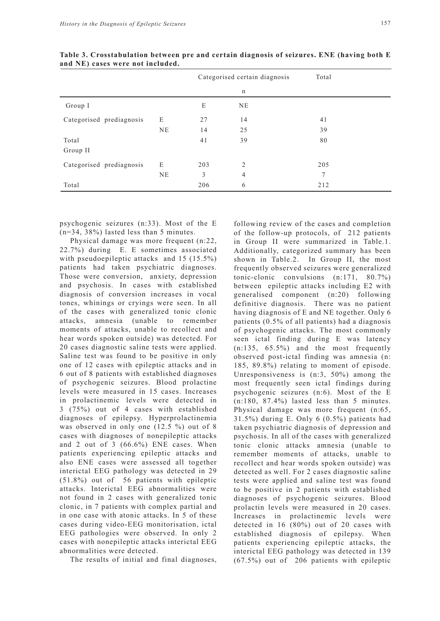|                          |           |     | Categorised certain diagnosis | Total |
|--------------------------|-----------|-----|-------------------------------|-------|
|                          |           |     | n                             |       |
| Group I                  |           | E   | <b>NE</b>                     |       |
| Categorised prediagnosis | E         | 27  | 14                            | 41    |
|                          | <b>NE</b> | 14  | 25                            | 39    |
| Total                    |           | 41  | 39                            | 80    |
| Group II                 |           |     |                               |       |
| Categorised prediagnosis | E         | 203 | $\overline{2}$                | 205   |
|                          | NE        | 3   | 4                             | 7     |
| Total                    |           | 206 | 6                             | 212   |

**Table 3. Crosstabulation between pre and certain diagnosis of seizures. ENE (having both E and NE) cases were not included.** 

psychogenic seizures (n:33). Most of the E (n=34, 38%) lasted less than 5 minutes.

Physical damage was more frequent (n:22, 22.7%) during E. E sometimes associated with pseudoepileptic attacks and 15 (15.5%) patients had taken psychiatric diagnoses. Those were conversion, anxiety, depression and psychosis. In cases with established diagnosis of conversion increases in vocal tones, whinings or cryings were seen. In all of the cases with generalized tonic clonic attacks, amnesia (unable to remember moments of attacks, unable to recollect and hear words spoken outside) was detected. For 20 cases diagnostic saline tests were applied. Saline test was found to be positive in only one of 12 cases with epileptic attacks and in 6 out of 8 patients with established diagnoses of psychogenic seizures. Blood prolactine levels were measured in 15 cases. Increases in prolactinemic levels were detected in 3 (75%) out of 4 cases with established diagnoses of epilepsy. Hyperprolactinemia was observed in only one (12.5 %) out of 8 cases with diagnoses of nonepileptic attacks and 2 out of 3 (66.6%) ENE cases. When patients experiencing epileptic attacks and also ENE cases were assessed all together interictal EEG pathology was detected in 29 (51.8%) out of 56 patients with epileptic attacks. Interictal EEG abnormalities were not found in 2 cases with generalized tonic clonic, in 7 patients with complex partial and in one case with atonic attacks. In 5 of these cases during video-EEG monitorisation, ictal EEG pathologies were observed. In only 2 cases with nonepileptic attacks interictal EEG abnormalities were detected.

The results of initial and final diagnoses,

following review of the cases and completion of the follow-up protocols, of 212 patients in Group II were summarized in Table.1. Additionally, categorized summary has been shown in Table.2. In Group II, the most frequently observed seizures were generalized tonic-clonic convulsions (n:171, 80.7%) between epileptic attacks including E2 with generalised component (n:20) following definitive diagnosis. There was no patient having diagnosis of E and NE together. Only 6 patients (0.5% of all patients) had a diagnosis of psychogenic attacks. The most commonly seen ictal finding during E was latency (n:135, 65.5%) and the most frequently observed post-ictal finding was amnesia (n: 185, 89.8%) relating to moment of episode. Unresponsiveness is (n:3, 50%) among the most frequently seen ictal findings during psychogenic seizures (n:6). Most of the E  $(n:180, 87.4\%)$  lasted less than 5 minutes. Physical damage was more frequent (n:65, 31.5%) during E. Only 6 (0.5%) patients had taken psychiatric diagnosis of depression and psychosis. In all of the cases with generalized tonic clonic attacks amnesia (unable to remember moments of attacks, unable to recollect and hear words spoken outside) was detected as well. For 2 cases diagnostic saline tests were applied and saline test was found to be positive in 2 patients with established diagnoses of psychogenic seizures. Blood prolactin levels were measured in 20 cases. Increases in prolactinemic levels were detected in 16 (80%) out of 20 cases with established diagnosis of epilepsy. When patients experiencing epileptic attacks, the interictal EEG pathology was detected in 139 (67.5%) out of 206 patients with epileptic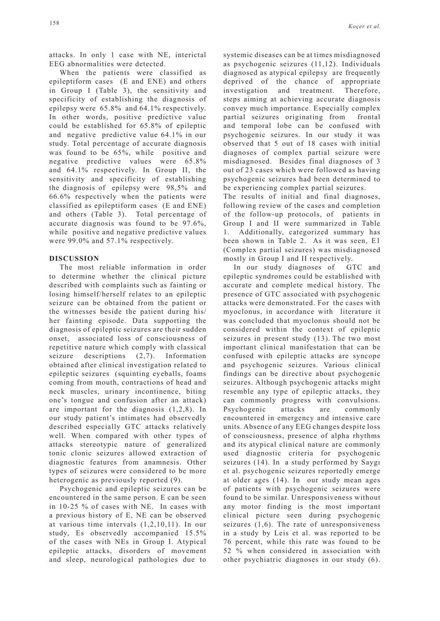attacks. In only 1 case with NE, interictal EEG abnormalities were detected.

When the patients were classified as epileptiform cases (E and ENE) and others in Group I (Table 3), the sensitivity and specificity of establishing the diagnosis of epilepsy were 65.8% and 64.1% respectively. In other words, positive predictive value could be established for 65.8% of epileptic and negative predictive value 64.1% in our study. Total percentage of accurate diagnosis was found to be 65%, while positive and negative predictive values were 65.8% and 64.1% respectively. In Group II, the sensitivity and specificity of establishing the diagnosis of epilepsy were 98,5% and 66.6% respectively when the patients were classified as epileptiform cases (E and ENE) and others (Table 3). Total percentage of accurate diagnosis was found to be 97.6%, while positive and negative predictive values were 99.0% and 57.1% respectively.

## **DISCUSSION**

The most reliable information in order to determine whether the clinical picture described with complaints such as fainting or losing himself/herself relates to an epileptic seizure can be obtained from the patient or the witnesses beside the patient during his/ her fainting episode. Data supporting the diagnosis of epileptic seizures are their sudden onset, associated loss of consciousness of repetitive nature which comply with classical seizure descriptions (2,7). Information obtained after clinical investigation related to epileptic seizures (squinting eyeballs, foams coming from mouth, contractions of head and neck muscles, urinary incontinence, biting one's tongue and confusion after an attack) are important for the diagnosis (1,2,8). In our study patient's intimates had observedly described especially GTC attacks relatively well. When compared with other types of attacks stereotypic nature of generalized tonic clonic seizures allowed extraction of diagnostic features from anamnesis. Other types of seizures were considered to be more heterogenic as previously reported (9).

Psychogenic and epileptic seizures can be encountered in the same person. E can be seen in 10-25 % of cases with NE. In cases with a previous history of E, NE can be observed at various time intervals (1,2,10,11). In our study, Es observedly accompanied 15.5% of the cases with NEs in Group I. Atypical epileptic attacks, disorders of movement and sleep, neurological pathologies due to systemic diseases can be at times misdiagnosed as psychogenic seizures (11,12). Individuals diagnosed as atypical epilepsy are frequently deprived of the chance of appropriate investigation and treatment. Therefore, steps aiming at achieving accurate diagnosis convey much importance. Especially complex partial seizures originating from frontal and temporal lobe can be confused with psychogenic seizures. In our study it was observed that 5 out of 18 cases with initial diagnoses of complex partial seizure were misdiagnosed. Besides final diagnoses of 3 out of 23 cases which were followed as having psychogenic seizures had been determined to be experiencing complex partial seizures.

The results of initial and final diagnoses, following review of the cases and completion of the follow-up protocols, of patients in Group I and II were summarized in Table 1. Additionally, categorized summary has been shown in Table 2. As it was seen, E1 (Complex partial seizures) was misdiagnosed mostly in Group I and II respectively.

In our study diagnoses of GTC and epileptic syndromes could be established with accurate and complete medical history. The presence of GTC associated with psychogenic attacks were demonstrated. For the cases with myoclonus, in accordance with literature it was concluded that myoclonus should not be considered within the context of epileptic seizures in present study (13). The two most important clinical manifestation that can be confused with epileptic attacks are syncope and psychogenic seizures. Various clinical findings can be directive about psychogenic seizures. Although psychogenic attacks might resemble any type of epileptic attacks, they can commonly progress with convulsions. Psychogenic attacks are commonly encountered in emergency and intensive care units. Absence of any EEG changes despite loss of consciousness, presence of alpha rhythms and its atypical clinical nature are commonly used diagnostic criteria for psychogenic seizures (14). In a study performed by Saygı et al. psychogenic seizures reportedly emerge at older ages (14). In our study mean ages of patients with psychogenic seizures were found to be similar. Unresponsiveness without any motor finding is the most important clinical picture seen during psychogenic seizures (1,6). The rate of unresponsiveness in a study by Leis et al. was reported to be 76 percent, while this rate was found to be 52 % when considered in association with other psychiatric diagnoses in our study (6).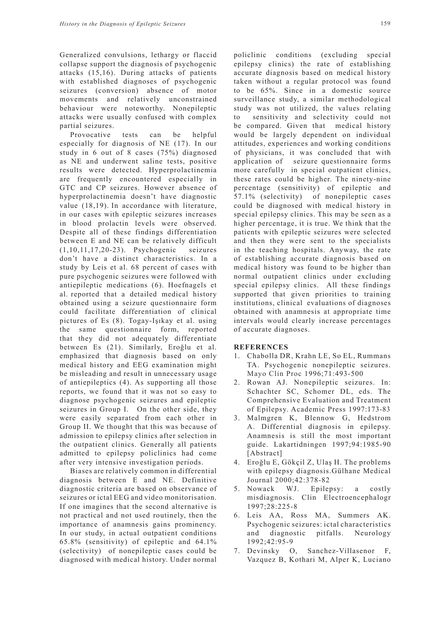Generalized convulsions, lethargy or flaccid collapse support the diagnosis of psychogenic attacks (15,16). During attacks of patients with established diagnoses of psychogenic seizures (conversion) absence of motor movements and relatively unconstrained behaviour were noteworthy. Nonepileptic attacks were usually confused with complex partial seizures.

Provocative tests can be helpful especially for diagnosis of NE (17). In our study in 6 out of 8 cases (75%) diagnosed as NE and underwent saline tests, positive results were detected. Hyperprolactinemia are frequently encountered especially in GTC and CP seizures. However absence of hyperprolactinemia doesn't have diagnostic value (18,19). In accordance with literature, in our cases with epileptic seizures increases in blood prolactin levels were observed. Despite all of these findings differentiation between E and NE can be relatively difficult (1,10,11,17,20-23). Psychogenic seizures don't have a distinct characteristics. In a study by Leis et al. 68 percent of cases with pure psychogenic seizures were followed with antiepileptic medications (6). Hoefnagels et al. reported that a detailed medical history obtained using a seizure questionnaire form could facilitate differentiation of clinical pictures of Es (8). Togay-Işıkay et al. using the same questionnaire form, reported that they did not adequately differentiate between Es (21). Similarly, Eroğlu et al. emphasized that diagnosis based on only medical history and EEG examination might be misleading and result in unnecessary usage of antiepileptics (4). As supporting all those reports, we found that it was not so easy to diagnose psychogenic seizures and epileptic seizures in Group I. On the other side, they were easily separated from each other in Group II. We thought that this was because of admission to epilepsy clinics after selection in the outpatient clinics. Generally all patients admitted to epilepsy policlinics had come after very intensive investigation periods.

Biases are relatively common in differential diagnosis between E and NE. Definitive diagnostic criteria are based on observance of seizures or ictal EEG and video monitorisation. If one imagines that the second alternative is not practical and not used routinely, then the importance of anamnesis gains prominency. In our study, in actual outpatient conditions 65.8% (sensitivity) of epileptic and 64.1% (selectivity) of nonepileptic cases could be diagnosed with medical history. Under normal

policlinic conditions (excluding special epilepsy clinics) the rate of establishing accurate diagnosis based on medical history taken without a regular protocol was found to be 65%. Since in a domestic source surveillance study, a similar methodological study was not utilized, the values relating to sensitivity and selectivity could not be compared. Given that medical history would be largely dependent on individual attitudes, experiences and working conditions of physicians, it was concluded that with application of seizure questionnaire forms more carefully in special outpatient clinics, these rates could be higher. The ninety-nine percentage (sensitivity) of epileptic and 57.1% (selectivity) of nonepileptic cases could be diagnosed with medical history in special epilepsy clinics. This may be seen as a higher percentage, it is true. We think that the patients with epileptic seizures were selected and then they were sent to the specialists in the teaching hospitals. Anyway, the rate of establishing accurate diagnosis based on medical history was found to be higher than normal outpatient clinics under excluding special epilepsy clinics. All these findings supported that given priorities to training institutions, clinical evaluations of diagnoses obtained with anamnesis at appropriate time intervals would clearly increase percentages of accurate diagnoses.

#### **REFERENCES**

- 1. Chabolla DR, Krahn LE, So EL, Rummans TA. Psychogenic nonepileptic seizures. Mayo Clin Proc 1996;71:493-500
- 2. Rowan AJ. Nonepileptic seizures. In: Schachter SC, Schomer DL, eds. The Comprehensive Evaluation and Treatment of Epilepsy. Academic Press 1997:173-83
- 3. Malmgren K, Blennow G, Hedstrom A. Differential diagnosis in epilepsy. Anamnesis is still the most important guide. Lakartidningen 1997;94:1985-90 [Abstract]
- 4. Eroğlu E, Gökçil Z, Ulaş H. The problems with epilepsy diagnosis.Gülhane Medical Journal 2000;42:378-82
- 5. Nowack WJ. Epilepsy: a costly misdiagnosis. Clin Electroencephalogr 1997;28:225-8
- 6. Leis AA, Ross MA, Summers AK. Psychogenic seizures: ictal characteristics and diagnostic pitfalls. Neurology 1992;42:95-9
- 7. Devinsky O, Sanchez-Villasenor F, Vazquez B, Kothari M, Alper K, Luciano